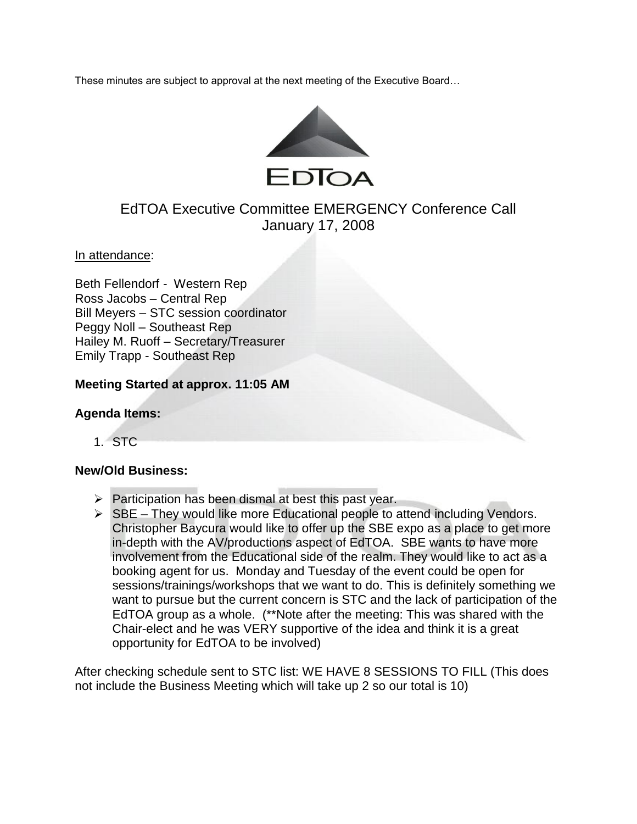These minutes are subject to approval at the next meeting of the Executive Board…



# EdTOA Executive Committee EMERGENCY Conference Call January 17, 2008

In attendance:

Beth Fellendorf - Western Rep Ross Jacobs – Central Rep Bill Meyers – STC session coordinator Peggy Noll – Southeast Rep Hailey M. Ruoff – Secretary/Treasurer Emily Trapp - Southeast Rep

### **Meeting Started at approx. 11:05 AM**

#### **Agenda Items:**

1. STC

#### **New/Old Business:**

- $\triangleright$  Participation has been dismal at best this past year.
- $\triangleright$  SBE They would like more Educational people to attend including Vendors. Christopher Baycura would like to offer up the SBE expo as a place to get more in-depth with the AV/productions aspect of EdTOA. SBE wants to have more involvement from the Educational side of the realm. They would like to act as a booking agent for us. Monday and Tuesday of the event could be open for sessions/trainings/workshops that we want to do. This is definitely something we want to pursue but the current concern is STC and the lack of participation of the EdTOA group as a whole. (\*\*Note after the meeting: This was shared with the Chair-elect and he was VERY supportive of the idea and think it is a great opportunity for EdTOA to be involved)

After checking schedule sent to STC list: WE HAVE 8 SESSIONS TO FILL (This does not include the Business Meeting which will take up 2 so our total is 10)